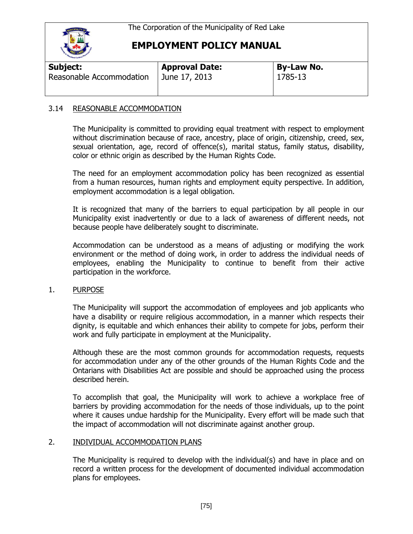

## **EMPLOYMENT POLICY MANUAL**

| Subject:                 | <b>Approval Date:</b> | By-Law No. |  |
|--------------------------|-----------------------|------------|--|
| Reasonable Accommodation | June 17, 2013         | 1785-13    |  |
|                          |                       |            |  |

### 3.14 REASONABLE ACCOMMODATION

The Municipality is committed to providing equal treatment with respect to employment without discrimination because of race, ancestry, place of origin, citizenship, creed, sex, sexual orientation, age, record of offence(s), marital status, family status, disability, color or ethnic origin as described by the Human Rights Code.

The need for an employment accommodation policy has been recognized as essential from a human resources, human rights and employment equity perspective. In addition, employment accommodation is a legal obligation.

It is recognized that many of the barriers to equal participation by all people in our Municipality exist inadvertently or due to a lack of awareness of different needs, not because people have deliberately sought to discriminate.

Accommodation can be understood as a means of adjusting or modifying the work environment or the method of doing work, in order to address the individual needs of employees, enabling the Municipality to continue to benefit from their active participation in the workforce.

#### 1. PURPOSE

The Municipality will support the accommodation of employees and job applicants who have a disability or require religious accommodation, in a manner which respects their dignity, is equitable and which enhances their ability to compete for jobs, perform their work and fully participate in employment at the Municipality.

Although these are the most common grounds for accommodation requests, requests for accommodation under any of the other grounds of the Human Rights Code and the Ontarians with Disabilities Act are possible and should be approached using the process described herein.

To accomplish that goal, the Municipality will work to achieve a workplace free of barriers by providing accommodation for the needs of those individuals, up to the point where it causes undue hardship for the Municipality. Every effort will be made such that the impact of accommodation will not discriminate against another group.

#### 2. INDIVIDUAL ACCOMMODATION PLANS

The Municipality is required to develop with the individual(s) and have in place and on record a written process for the development of documented individual accommodation plans for employees.